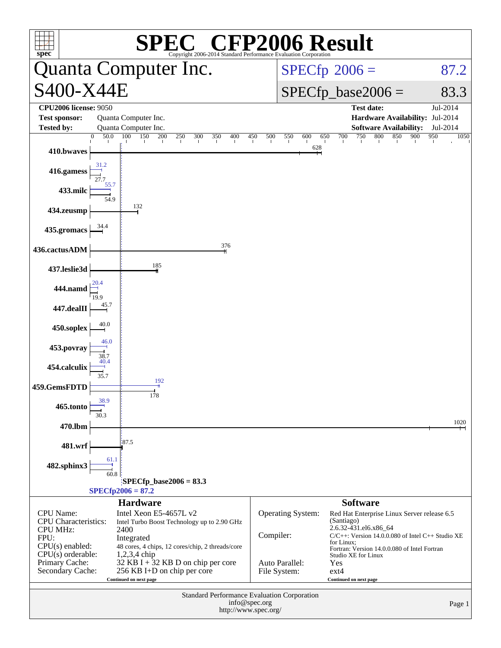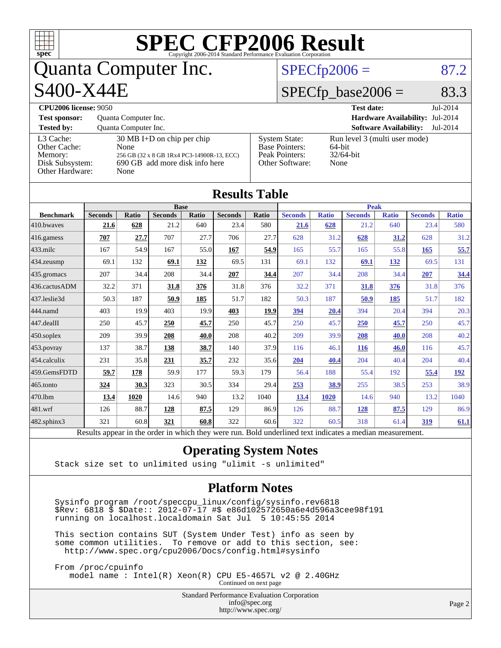| $spec^*$                                                                   |                |                                              |                                                                                                                      |              | $\textbf{SPE}_{\texttt{Copyright 2006-2014 Standard Performance Evaluation Corporation}} \textbf{Results}$ |       |                                                                                    |                |                                            |                                                                |                |                                  |
|----------------------------------------------------------------------------|----------------|----------------------------------------------|----------------------------------------------------------------------------------------------------------------------|--------------|------------------------------------------------------------------------------------------------------------|-------|------------------------------------------------------------------------------------|----------------|--------------------------------------------|----------------------------------------------------------------|----------------|----------------------------------|
| Quanta Computer Inc.                                                       |                |                                              |                                                                                                                      |              |                                                                                                            |       | $SPECfp2006 =$                                                                     |                |                                            |                                                                |                | 87.2                             |
| S400-X44E                                                                  |                |                                              |                                                                                                                      |              |                                                                                                            |       |                                                                                    |                | $SPECfp\_base2006 =$                       |                                                                |                | 83.3                             |
| <b>CPU2006 license: 9050</b><br><b>Test sponsor:</b><br><b>Tested by:</b>  |                | Quanta Computer Inc.<br>Quanta Computer Inc. |                                                                                                                      |              |                                                                                                            |       |                                                                                    |                | <b>Test date:</b>                          | <b>Hardware Availability:</b><br><b>Software Availability:</b> |                | Jul-2014<br>Jul-2014<br>Jul-2014 |
| L3 Cache:<br>Other Cache:<br>Memory:<br>Disk Subsystem:<br>Other Hardware: |                | None<br>None                                 | $30 \text{ MB I+D}$ on chip per chip<br>256 GB (32 x 8 GB 1Rx4 PC3-14900R-13, ECC)<br>690 GB add more disk info here |              |                                                                                                            |       | <b>System State:</b><br><b>Base Pointers:</b><br>Peak Pointers:<br>Other Software: | 64-bit<br>None | Run level 3 (multi user mode)<br>32/64-bit |                                                                |                |                                  |
|                                                                            |                |                                              |                                                                                                                      |              | <b>Results Table</b>                                                                                       |       |                                                                                    |                |                                            |                                                                |                |                                  |
| <b>Benchmark</b>                                                           | <b>Seconds</b> | Ratio                                        | <b>Base</b><br><b>Seconds</b>                                                                                        | <b>Ratio</b> | <b>Seconds</b>                                                                                             | Ratio | <b>Seconds</b>                                                                     | <b>Ratio</b>   | <b>Peak</b><br><b>Seconds</b>              | <b>Ratio</b>                                                   | <b>Seconds</b> | <b>Ratio</b>                     |
| 410.bwaves                                                                 | 21.6           | 628                                          | 21.2                                                                                                                 | 640          | 23.4                                                                                                       | 580   | 21.6                                                                               | 628            | 21.2                                       | 640                                                            | 23.4           | 580                              |
| 416.gamess                                                                 | 707            | 27.7                                         | 707                                                                                                                  | 27.7         | 706                                                                                                        | 27.7  | 628                                                                                | 31.2           | 628                                        | 31.2                                                           | 628            | 31.2                             |
| 433.milc                                                                   | 167            | 54.9                                         | 167                                                                                                                  | 55.0         | 167                                                                                                        | 54.9  | 165                                                                                | 55.7           | 165                                        | 55.8                                                           | 165            | 55.7                             |
| 434.zeusmp                                                                 | 69.1           | 132                                          | 69.1                                                                                                                 | 132          | 69.5                                                                                                       | 131   | 69.1                                                                               | 132            | 69.1                                       | 132                                                            | 69.5           | 131                              |
| 435.gromacs                                                                | 207            | 34.4                                         | 208                                                                                                                  | 34.4         | 207                                                                                                        | 34.4  | 207                                                                                | 34.4           | 208                                        | 34.4                                                           | 207            | 34.4                             |
| 436.cactusADM                                                              | 32.2           | 371                                          | 31.8                                                                                                                 | 376          | 31.8                                                                                                       | 376   | 32.2                                                                               | 371            | 31.8                                       | 376                                                            | 31.8           | 376                              |
| 437.leslie3d                                                               | 50.3           | 187                                          | 50.9                                                                                                                 | 185          | 51.7                                                                                                       | 182   | 50.3                                                                               | 187            | 50.9                                       | 185                                                            | 51.7           | 182                              |
| 444.namd                                                                   | 403            | 19.9                                         | 403                                                                                                                  | 19.9         | 403                                                                                                        | 19.9  | 394                                                                                | 20.4           | 394                                        | 20.4                                                           | 394            | 20.3                             |
| 447.dealII                                                                 | 250            | 45.7                                         | 250                                                                                                                  | 45.7         | 250                                                                                                        | 45.7  | 250                                                                                | 45.7           | 250                                        | 45.7                                                           | 250            | 45.7                             |
| 450.soplex                                                                 | 209            | 39.9                                         | 208                                                                                                                  | 40.0         | 208                                                                                                        | 40.2  | 209                                                                                | 39.9           | 208                                        | 40.0                                                           | 208            | 40.2                             |
| 453.povray                                                                 | 137            | 38.7                                         | 138                                                                                                                  | 38.7         | 140                                                                                                        | 37.9  | 116                                                                                | 46.1           | <b>116</b>                                 | 46.0                                                           | 116            | 45.7                             |
| 454.calculix                                                               | 231            | 35.8                                         | 231                                                                                                                  | 35.7         | 232                                                                                                        | 35.6  | 204                                                                                | 40.4           | 204                                        | 40.4                                                           | 204            | 40.4                             |
| 459.GemsFDTD                                                               | 59.7           | 178                                          | 59.9                                                                                                                 | 177          | 59.3                                                                                                       | 179   | 56.4                                                                               | 188            | 55.4                                       | 192                                                            | 55.4           | 192                              |
| 465.tonto                                                                  | 324            | 30.3                                         | 323                                                                                                                  | 30.5         | 334                                                                                                        | 29.4  | 253                                                                                | 38.9           | 255                                        | 38.5                                                           | 253            | 38.9                             |
| 470.1bm                                                                    | 13.4           | 1020                                         | 14.6                                                                                                                 | 940          | 13.2                                                                                                       | 1040  | 13.4                                                                               | 1020           | 14.6                                       | 940                                                            | 13.2           | 1040                             |
| 481.wrf                                                                    | 126            | 88.7                                         | 128                                                                                                                  | 87.5         | 129                                                                                                        | 86.9  | 126                                                                                | 88.7           | 128                                        | 87.5                                                           | 129            | 86.9                             |
| 482.sphinx3                                                                | 321            | 60.8                                         | 321                                                                                                                  | 60.8         | 322                                                                                                        | 60.6  | 322                                                                                | 60.5           | 318                                        | 61.4                                                           | 319            | 61.1                             |
|                                                                            |                |                                              |                                                                                                                      |              | Results appear in the order in which they were run. Bold underlined text indicates a median measurement.   |       |                                                                                    |                |                                            |                                                                |                |                                  |

#### **[Operating System Notes](http://www.spec.org/auto/cpu2006/Docs/result-fields.html#OperatingSystemNotes)**

Stack size set to unlimited using "ulimit -s unlimited"

#### **[Platform Notes](http://www.spec.org/auto/cpu2006/Docs/result-fields.html#PlatformNotes)**

 Sysinfo program /root/speccpu\_linux/config/sysinfo.rev6818  $$Rev: 6818 \$$  \$Date:: 2012-07-17 #\$ e86d102572650a6e4d596a3cee98f191 running on localhost.localdomain Sat Jul 5 10:45:55 2014

 This section contains SUT (System Under Test) info as seen by some common utilities. To remove or add to this section, see: <http://www.spec.org/cpu2006/Docs/config.html#sysinfo>

 From /proc/cpuinfo model name : Intel(R) Xeon(R) CPU E5-4657L v2 @ 2.40GHz Continued on next page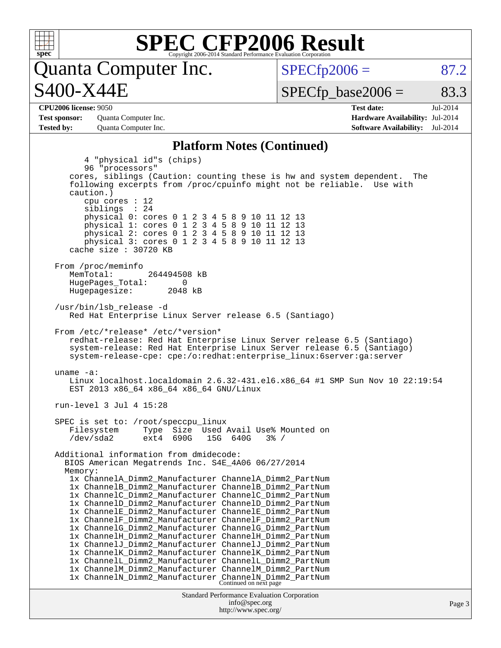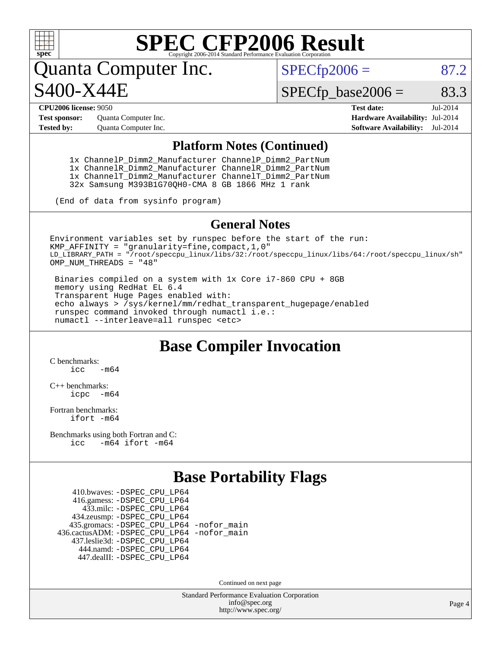

## **[SPEC CFP2006 Result](http://www.spec.org/auto/cpu2006/Docs/result-fields.html#SPECCFP2006Result)**

Quanta Computer Inc. S400-X44E

 $SPECfp2006 = 87.2$  $SPECfp2006 = 87.2$ 

 $SPECTp\_base2006 = 83.3$ 

**[Test sponsor:](http://www.spec.org/auto/cpu2006/Docs/result-fields.html#Testsponsor)** Quanta Computer Inc. **[Hardware Availability:](http://www.spec.org/auto/cpu2006/Docs/result-fields.html#HardwareAvailability)** Jul-2014

**[CPU2006 license:](http://www.spec.org/auto/cpu2006/Docs/result-fields.html#CPU2006license)** 9050 **[Test date:](http://www.spec.org/auto/cpu2006/Docs/result-fields.html#Testdate)** Jul-2014 **[Tested by:](http://www.spec.org/auto/cpu2006/Docs/result-fields.html#Testedby)** Quanta Computer Inc. **[Software Availability:](http://www.spec.org/auto/cpu2006/Docs/result-fields.html#SoftwareAvailability)** Jul-2014

#### **[Platform Notes \(Continued\)](http://www.spec.org/auto/cpu2006/Docs/result-fields.html#PlatformNotes)**

 1x ChannelP\_Dimm2\_Manufacturer ChannelP\_Dimm2\_PartNum 1x ChannelR\_Dimm2\_Manufacturer ChannelR\_Dimm2\_PartNum 1x ChannelT\_Dimm2\_Manufacturer ChannelT\_Dimm2\_PartNum 32x Samsung M393B1G70QH0-CMA 8 GB 1866 MHz 1 rank

(End of data from sysinfo program)

#### **[General Notes](http://www.spec.org/auto/cpu2006/Docs/result-fields.html#GeneralNotes)**

Environment variables set by runspec before the start of the run: KMP\_AFFINITY = "granularity=fine,compact,1,0" LD\_LIBRARY\_PATH = "/root/speccpu\_linux/libs/32:/root/speccpu\_linux/libs/64:/root/speccpu\_linux/sh" OMP NUM THREADS = "48"

 Binaries compiled on a system with 1x Core i7-860 CPU + 8GB memory using RedHat EL 6.4 Transparent Huge Pages enabled with: echo always > /sys/kernel/mm/redhat\_transparent\_hugepage/enabled runspec command invoked through numactl i.e.: numactl --interleave=all runspec <etc>

#### **[Base Compiler Invocation](http://www.spec.org/auto/cpu2006/Docs/result-fields.html#BaseCompilerInvocation)**

[C benchmarks](http://www.spec.org/auto/cpu2006/Docs/result-fields.html#Cbenchmarks):  $inc$   $-m64$ 

[C++ benchmarks:](http://www.spec.org/auto/cpu2006/Docs/result-fields.html#CXXbenchmarks) [icpc -m64](http://www.spec.org/cpu2006/results/res2014q3/cpu2006-20140707-30358.flags.html#user_CXXbase_intel_icpc_64bit_bedb90c1146cab66620883ef4f41a67e)

[Fortran benchmarks](http://www.spec.org/auto/cpu2006/Docs/result-fields.html#Fortranbenchmarks): [ifort -m64](http://www.spec.org/cpu2006/results/res2014q3/cpu2006-20140707-30358.flags.html#user_FCbase_intel_ifort_64bit_ee9d0fb25645d0210d97eb0527dcc06e)

[Benchmarks using both Fortran and C](http://www.spec.org/auto/cpu2006/Docs/result-fields.html#BenchmarksusingbothFortranandC): [icc -m64](http://www.spec.org/cpu2006/results/res2014q3/cpu2006-20140707-30358.flags.html#user_CC_FCbase_intel_icc_64bit_0b7121f5ab7cfabee23d88897260401c) [ifort -m64](http://www.spec.org/cpu2006/results/res2014q3/cpu2006-20140707-30358.flags.html#user_CC_FCbase_intel_ifort_64bit_ee9d0fb25645d0210d97eb0527dcc06e)

### **[Base Portability Flags](http://www.spec.org/auto/cpu2006/Docs/result-fields.html#BasePortabilityFlags)**

 410.bwaves: [-DSPEC\\_CPU\\_LP64](http://www.spec.org/cpu2006/results/res2014q3/cpu2006-20140707-30358.flags.html#suite_basePORTABILITY410_bwaves_DSPEC_CPU_LP64) 416.gamess: [-DSPEC\\_CPU\\_LP64](http://www.spec.org/cpu2006/results/res2014q3/cpu2006-20140707-30358.flags.html#suite_basePORTABILITY416_gamess_DSPEC_CPU_LP64) 433.milc: [-DSPEC\\_CPU\\_LP64](http://www.spec.org/cpu2006/results/res2014q3/cpu2006-20140707-30358.flags.html#suite_basePORTABILITY433_milc_DSPEC_CPU_LP64) 434.zeusmp: [-DSPEC\\_CPU\\_LP64](http://www.spec.org/cpu2006/results/res2014q3/cpu2006-20140707-30358.flags.html#suite_basePORTABILITY434_zeusmp_DSPEC_CPU_LP64) 435.gromacs: [-DSPEC\\_CPU\\_LP64](http://www.spec.org/cpu2006/results/res2014q3/cpu2006-20140707-30358.flags.html#suite_basePORTABILITY435_gromacs_DSPEC_CPU_LP64) [-nofor\\_main](http://www.spec.org/cpu2006/results/res2014q3/cpu2006-20140707-30358.flags.html#user_baseLDPORTABILITY435_gromacs_f-nofor_main) 436.cactusADM: [-DSPEC\\_CPU\\_LP64](http://www.spec.org/cpu2006/results/res2014q3/cpu2006-20140707-30358.flags.html#suite_basePORTABILITY436_cactusADM_DSPEC_CPU_LP64) [-nofor\\_main](http://www.spec.org/cpu2006/results/res2014q3/cpu2006-20140707-30358.flags.html#user_baseLDPORTABILITY436_cactusADM_f-nofor_main) 437.leslie3d: [-DSPEC\\_CPU\\_LP64](http://www.spec.org/cpu2006/results/res2014q3/cpu2006-20140707-30358.flags.html#suite_basePORTABILITY437_leslie3d_DSPEC_CPU_LP64) 444.namd: [-DSPEC\\_CPU\\_LP64](http://www.spec.org/cpu2006/results/res2014q3/cpu2006-20140707-30358.flags.html#suite_basePORTABILITY444_namd_DSPEC_CPU_LP64) 447.dealII: [-DSPEC\\_CPU\\_LP64](http://www.spec.org/cpu2006/results/res2014q3/cpu2006-20140707-30358.flags.html#suite_basePORTABILITY447_dealII_DSPEC_CPU_LP64)

Continued on next page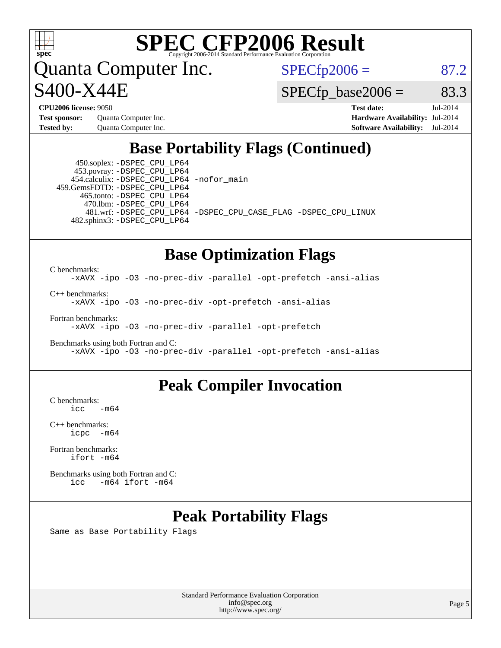

## **[SPEC CFP2006 Result](http://www.spec.org/auto/cpu2006/Docs/result-fields.html#SPECCFP2006Result)**

Quanta Computer Inc. S400-X44E

 $SPECTp2006 = 87.2$ 

 $SPECTp\_base2006 = 83.3$ 

**[Test sponsor:](http://www.spec.org/auto/cpu2006/Docs/result-fields.html#Testsponsor)** Quanta Computer Inc. **[Hardware Availability:](http://www.spec.org/auto/cpu2006/Docs/result-fields.html#HardwareAvailability)** Jul-2014

**[CPU2006 license:](http://www.spec.org/auto/cpu2006/Docs/result-fields.html#CPU2006license)** 9050 **[Test date:](http://www.spec.org/auto/cpu2006/Docs/result-fields.html#Testdate)** Jul-2014 **[Tested by:](http://www.spec.org/auto/cpu2006/Docs/result-fields.html#Testedby)** Quanta Computer Inc. **[Software Availability:](http://www.spec.org/auto/cpu2006/Docs/result-fields.html#SoftwareAvailability)** Jul-2014

### **[Base Portability Flags \(Continued\)](http://www.spec.org/auto/cpu2006/Docs/result-fields.html#BasePortabilityFlags)**

 450.soplex: [-DSPEC\\_CPU\\_LP64](http://www.spec.org/cpu2006/results/res2014q3/cpu2006-20140707-30358.flags.html#suite_basePORTABILITY450_soplex_DSPEC_CPU_LP64) 453.povray: [-DSPEC\\_CPU\\_LP64](http://www.spec.org/cpu2006/results/res2014q3/cpu2006-20140707-30358.flags.html#suite_basePORTABILITY453_povray_DSPEC_CPU_LP64) 454.calculix: [-DSPEC\\_CPU\\_LP64](http://www.spec.org/cpu2006/results/res2014q3/cpu2006-20140707-30358.flags.html#suite_basePORTABILITY454_calculix_DSPEC_CPU_LP64) [-nofor\\_main](http://www.spec.org/cpu2006/results/res2014q3/cpu2006-20140707-30358.flags.html#user_baseLDPORTABILITY454_calculix_f-nofor_main) 459.GemsFDTD: [-DSPEC\\_CPU\\_LP64](http://www.spec.org/cpu2006/results/res2014q3/cpu2006-20140707-30358.flags.html#suite_basePORTABILITY459_GemsFDTD_DSPEC_CPU_LP64) 465.tonto: [-DSPEC\\_CPU\\_LP64](http://www.spec.org/cpu2006/results/res2014q3/cpu2006-20140707-30358.flags.html#suite_basePORTABILITY465_tonto_DSPEC_CPU_LP64) 470.lbm: [-DSPEC\\_CPU\\_LP64](http://www.spec.org/cpu2006/results/res2014q3/cpu2006-20140707-30358.flags.html#suite_basePORTABILITY470_lbm_DSPEC_CPU_LP64) 482.sphinx3: [-DSPEC\\_CPU\\_LP64](http://www.spec.org/cpu2006/results/res2014q3/cpu2006-20140707-30358.flags.html#suite_basePORTABILITY482_sphinx3_DSPEC_CPU_LP64)

481.wrf: [-DSPEC\\_CPU\\_LP64](http://www.spec.org/cpu2006/results/res2014q3/cpu2006-20140707-30358.flags.html#suite_basePORTABILITY481_wrf_DSPEC_CPU_LP64) [-DSPEC\\_CPU\\_CASE\\_FLAG](http://www.spec.org/cpu2006/results/res2014q3/cpu2006-20140707-30358.flags.html#b481.wrf_baseCPORTABILITY_DSPEC_CPU_CASE_FLAG) [-DSPEC\\_CPU\\_LINUX](http://www.spec.org/cpu2006/results/res2014q3/cpu2006-20140707-30358.flags.html#b481.wrf_baseCPORTABILITY_DSPEC_CPU_LINUX)

#### **[Base Optimization Flags](http://www.spec.org/auto/cpu2006/Docs/result-fields.html#BaseOptimizationFlags)**

[C benchmarks](http://www.spec.org/auto/cpu2006/Docs/result-fields.html#Cbenchmarks): [-xAVX](http://www.spec.org/cpu2006/results/res2014q3/cpu2006-20140707-30358.flags.html#user_CCbase_f-xAVX) [-ipo](http://www.spec.org/cpu2006/results/res2014q3/cpu2006-20140707-30358.flags.html#user_CCbase_f-ipo) [-O3](http://www.spec.org/cpu2006/results/res2014q3/cpu2006-20140707-30358.flags.html#user_CCbase_f-O3) [-no-prec-div](http://www.spec.org/cpu2006/results/res2014q3/cpu2006-20140707-30358.flags.html#user_CCbase_f-no-prec-div) [-parallel](http://www.spec.org/cpu2006/results/res2014q3/cpu2006-20140707-30358.flags.html#user_CCbase_f-parallel) [-opt-prefetch](http://www.spec.org/cpu2006/results/res2014q3/cpu2006-20140707-30358.flags.html#user_CCbase_f-opt-prefetch) [-ansi-alias](http://www.spec.org/cpu2006/results/res2014q3/cpu2006-20140707-30358.flags.html#user_CCbase_f-ansi-alias)

[C++ benchmarks:](http://www.spec.org/auto/cpu2006/Docs/result-fields.html#CXXbenchmarks) [-xAVX](http://www.spec.org/cpu2006/results/res2014q3/cpu2006-20140707-30358.flags.html#user_CXXbase_f-xAVX) [-ipo](http://www.spec.org/cpu2006/results/res2014q3/cpu2006-20140707-30358.flags.html#user_CXXbase_f-ipo) [-O3](http://www.spec.org/cpu2006/results/res2014q3/cpu2006-20140707-30358.flags.html#user_CXXbase_f-O3) [-no-prec-div](http://www.spec.org/cpu2006/results/res2014q3/cpu2006-20140707-30358.flags.html#user_CXXbase_f-no-prec-div) [-opt-prefetch](http://www.spec.org/cpu2006/results/res2014q3/cpu2006-20140707-30358.flags.html#user_CXXbase_f-opt-prefetch) [-ansi-alias](http://www.spec.org/cpu2006/results/res2014q3/cpu2006-20140707-30358.flags.html#user_CXXbase_f-ansi-alias)

[Fortran benchmarks](http://www.spec.org/auto/cpu2006/Docs/result-fields.html#Fortranbenchmarks):

[-xAVX](http://www.spec.org/cpu2006/results/res2014q3/cpu2006-20140707-30358.flags.html#user_FCbase_f-xAVX) [-ipo](http://www.spec.org/cpu2006/results/res2014q3/cpu2006-20140707-30358.flags.html#user_FCbase_f-ipo) [-O3](http://www.spec.org/cpu2006/results/res2014q3/cpu2006-20140707-30358.flags.html#user_FCbase_f-O3) [-no-prec-div](http://www.spec.org/cpu2006/results/res2014q3/cpu2006-20140707-30358.flags.html#user_FCbase_f-no-prec-div) [-parallel](http://www.spec.org/cpu2006/results/res2014q3/cpu2006-20140707-30358.flags.html#user_FCbase_f-parallel) [-opt-prefetch](http://www.spec.org/cpu2006/results/res2014q3/cpu2006-20140707-30358.flags.html#user_FCbase_f-opt-prefetch)

[Benchmarks using both Fortran and C](http://www.spec.org/auto/cpu2006/Docs/result-fields.html#BenchmarksusingbothFortranandC): [-xAVX](http://www.spec.org/cpu2006/results/res2014q3/cpu2006-20140707-30358.flags.html#user_CC_FCbase_f-xAVX) [-ipo](http://www.spec.org/cpu2006/results/res2014q3/cpu2006-20140707-30358.flags.html#user_CC_FCbase_f-ipo) [-O3](http://www.spec.org/cpu2006/results/res2014q3/cpu2006-20140707-30358.flags.html#user_CC_FCbase_f-O3) [-no-prec-div](http://www.spec.org/cpu2006/results/res2014q3/cpu2006-20140707-30358.flags.html#user_CC_FCbase_f-no-prec-div) [-parallel](http://www.spec.org/cpu2006/results/res2014q3/cpu2006-20140707-30358.flags.html#user_CC_FCbase_f-parallel) [-opt-prefetch](http://www.spec.org/cpu2006/results/res2014q3/cpu2006-20140707-30358.flags.html#user_CC_FCbase_f-opt-prefetch) [-ansi-alias](http://www.spec.org/cpu2006/results/res2014q3/cpu2006-20140707-30358.flags.html#user_CC_FCbase_f-ansi-alias)

### **[Peak Compiler Invocation](http://www.spec.org/auto/cpu2006/Docs/result-fields.html#PeakCompilerInvocation)**

 $C$  benchmarks:<br>icc  $-m64$ 

[C++ benchmarks:](http://www.spec.org/auto/cpu2006/Docs/result-fields.html#CXXbenchmarks) [icpc -m64](http://www.spec.org/cpu2006/results/res2014q3/cpu2006-20140707-30358.flags.html#user_CXXpeak_intel_icpc_64bit_bedb90c1146cab66620883ef4f41a67e)

[Fortran benchmarks](http://www.spec.org/auto/cpu2006/Docs/result-fields.html#Fortranbenchmarks): [ifort -m64](http://www.spec.org/cpu2006/results/res2014q3/cpu2006-20140707-30358.flags.html#user_FCpeak_intel_ifort_64bit_ee9d0fb25645d0210d97eb0527dcc06e)

[Benchmarks using both Fortran and C](http://www.spec.org/auto/cpu2006/Docs/result-fields.html#BenchmarksusingbothFortranandC): [icc -m64](http://www.spec.org/cpu2006/results/res2014q3/cpu2006-20140707-30358.flags.html#user_CC_FCpeak_intel_icc_64bit_0b7121f5ab7cfabee23d88897260401c) [ifort -m64](http://www.spec.org/cpu2006/results/res2014q3/cpu2006-20140707-30358.flags.html#user_CC_FCpeak_intel_ifort_64bit_ee9d0fb25645d0210d97eb0527dcc06e)

### **[Peak Portability Flags](http://www.spec.org/auto/cpu2006/Docs/result-fields.html#PeakPortabilityFlags)**

Same as Base Portability Flags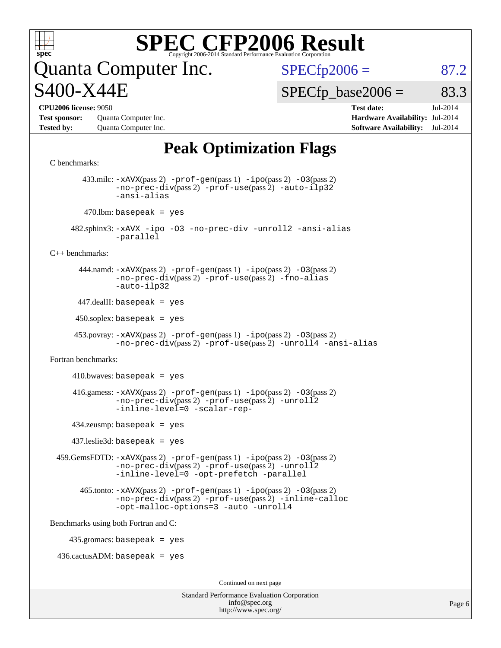

# **[SPEC CFP2006 Result](http://www.spec.org/auto/cpu2006/Docs/result-fields.html#SPECCFP2006Result)**

## luanta Computer Inc. S400-X44E

 $SPECTp2006 = 87.2$ 

 $SPECTp\_base2006 = 83.3$ 

**[Test sponsor:](http://www.spec.org/auto/cpu2006/Docs/result-fields.html#Testsponsor)** Quanta Computer Inc. **[Hardware Availability:](http://www.spec.org/auto/cpu2006/Docs/result-fields.html#HardwareAvailability)** Jul-2014 **[Tested by:](http://www.spec.org/auto/cpu2006/Docs/result-fields.html#Testedby)** Quanta Computer Inc. **[Software Availability:](http://www.spec.org/auto/cpu2006/Docs/result-fields.html#SoftwareAvailability)** Jul-2014

**[CPU2006 license:](http://www.spec.org/auto/cpu2006/Docs/result-fields.html#CPU2006license)** 9050 **[Test date:](http://www.spec.org/auto/cpu2006/Docs/result-fields.html#Testdate)** Jul-2014

## **[Peak Optimization Flags](http://www.spec.org/auto/cpu2006/Docs/result-fields.html#PeakOptimizationFlags)**

Standard Performance Evaluation Corporation [C benchmarks](http://www.spec.org/auto/cpu2006/Docs/result-fields.html#Cbenchmarks): 433.milc: [-xAVX](http://www.spec.org/cpu2006/results/res2014q3/cpu2006-20140707-30358.flags.html#user_peakPASS2_CFLAGSPASS2_LDFLAGS433_milc_f-xAVX)(pass 2) [-prof-gen](http://www.spec.org/cpu2006/results/res2014q3/cpu2006-20140707-30358.flags.html#user_peakPASS1_CFLAGSPASS1_LDFLAGS433_milc_prof_gen_e43856698f6ca7b7e442dfd80e94a8fc)(pass 1) [-ipo](http://www.spec.org/cpu2006/results/res2014q3/cpu2006-20140707-30358.flags.html#user_peakPASS2_CFLAGSPASS2_LDFLAGS433_milc_f-ipo)(pass 2) [-O3](http://www.spec.org/cpu2006/results/res2014q3/cpu2006-20140707-30358.flags.html#user_peakPASS2_CFLAGSPASS2_LDFLAGS433_milc_f-O3)(pass 2) [-no-prec-div](http://www.spec.org/cpu2006/results/res2014q3/cpu2006-20140707-30358.flags.html#user_peakPASS2_CFLAGSPASS2_LDFLAGS433_milc_f-no-prec-div)(pass 2) [-prof-use](http://www.spec.org/cpu2006/results/res2014q3/cpu2006-20140707-30358.flags.html#user_peakPASS2_CFLAGSPASS2_LDFLAGS433_milc_prof_use_bccf7792157ff70d64e32fe3e1250b55)(pass 2) [-auto-ilp32](http://www.spec.org/cpu2006/results/res2014q3/cpu2006-20140707-30358.flags.html#user_peakCOPTIMIZE433_milc_f-auto-ilp32) [-ansi-alias](http://www.spec.org/cpu2006/results/res2014q3/cpu2006-20140707-30358.flags.html#user_peakCOPTIMIZE433_milc_f-ansi-alias)  $470$ .lbm: basepeak = yes 482.sphinx3: [-xAVX](http://www.spec.org/cpu2006/results/res2014q3/cpu2006-20140707-30358.flags.html#user_peakOPTIMIZE482_sphinx3_f-xAVX) [-ipo](http://www.spec.org/cpu2006/results/res2014q3/cpu2006-20140707-30358.flags.html#user_peakOPTIMIZE482_sphinx3_f-ipo) [-O3](http://www.spec.org/cpu2006/results/res2014q3/cpu2006-20140707-30358.flags.html#user_peakOPTIMIZE482_sphinx3_f-O3) [-no-prec-div](http://www.spec.org/cpu2006/results/res2014q3/cpu2006-20140707-30358.flags.html#user_peakOPTIMIZE482_sphinx3_f-no-prec-div) [-unroll2](http://www.spec.org/cpu2006/results/res2014q3/cpu2006-20140707-30358.flags.html#user_peakCOPTIMIZE482_sphinx3_f-unroll_784dae83bebfb236979b41d2422d7ec2) [-ansi-alias](http://www.spec.org/cpu2006/results/res2014q3/cpu2006-20140707-30358.flags.html#user_peakCOPTIMIZE482_sphinx3_f-ansi-alias) [-parallel](http://www.spec.org/cpu2006/results/res2014q3/cpu2006-20140707-30358.flags.html#user_peakCOPTIMIZE482_sphinx3_f-parallel) [C++ benchmarks:](http://www.spec.org/auto/cpu2006/Docs/result-fields.html#CXXbenchmarks) 444.namd: [-xAVX](http://www.spec.org/cpu2006/results/res2014q3/cpu2006-20140707-30358.flags.html#user_peakPASS2_CXXFLAGSPASS2_LDFLAGS444_namd_f-xAVX)(pass 2) [-prof-gen](http://www.spec.org/cpu2006/results/res2014q3/cpu2006-20140707-30358.flags.html#user_peakPASS1_CXXFLAGSPASS1_LDFLAGS444_namd_prof_gen_e43856698f6ca7b7e442dfd80e94a8fc)(pass 1) [-ipo](http://www.spec.org/cpu2006/results/res2014q3/cpu2006-20140707-30358.flags.html#user_peakPASS2_CXXFLAGSPASS2_LDFLAGS444_namd_f-ipo)(pass 2) [-O3](http://www.spec.org/cpu2006/results/res2014q3/cpu2006-20140707-30358.flags.html#user_peakPASS2_CXXFLAGSPASS2_LDFLAGS444_namd_f-O3)(pass 2) [-no-prec-div](http://www.spec.org/cpu2006/results/res2014q3/cpu2006-20140707-30358.flags.html#user_peakPASS2_CXXFLAGSPASS2_LDFLAGS444_namd_f-no-prec-div)(pass 2) [-prof-use](http://www.spec.org/cpu2006/results/res2014q3/cpu2006-20140707-30358.flags.html#user_peakPASS2_CXXFLAGSPASS2_LDFLAGS444_namd_prof_use_bccf7792157ff70d64e32fe3e1250b55)(pass 2) [-fno-alias](http://www.spec.org/cpu2006/results/res2014q3/cpu2006-20140707-30358.flags.html#user_peakCXXOPTIMIZEOPTIMIZE444_namd_f-no-alias_694e77f6c5a51e658e82ccff53a9e63a) [-auto-ilp32](http://www.spec.org/cpu2006/results/res2014q3/cpu2006-20140707-30358.flags.html#user_peakCXXOPTIMIZE444_namd_f-auto-ilp32)  $447$ .dealII: basepeak = yes  $450$ .soplex: basepeak = yes 453.povray: [-xAVX](http://www.spec.org/cpu2006/results/res2014q3/cpu2006-20140707-30358.flags.html#user_peakPASS2_CXXFLAGSPASS2_LDFLAGS453_povray_f-xAVX)(pass 2) [-prof-gen](http://www.spec.org/cpu2006/results/res2014q3/cpu2006-20140707-30358.flags.html#user_peakPASS1_CXXFLAGSPASS1_LDFLAGS453_povray_prof_gen_e43856698f6ca7b7e442dfd80e94a8fc)(pass 1) [-ipo](http://www.spec.org/cpu2006/results/res2014q3/cpu2006-20140707-30358.flags.html#user_peakPASS2_CXXFLAGSPASS2_LDFLAGS453_povray_f-ipo)(pass 2) [-O3](http://www.spec.org/cpu2006/results/res2014q3/cpu2006-20140707-30358.flags.html#user_peakPASS2_CXXFLAGSPASS2_LDFLAGS453_povray_f-O3)(pass 2) [-no-prec-div](http://www.spec.org/cpu2006/results/res2014q3/cpu2006-20140707-30358.flags.html#user_peakPASS2_CXXFLAGSPASS2_LDFLAGS453_povray_f-no-prec-div)(pass 2) [-prof-use](http://www.spec.org/cpu2006/results/res2014q3/cpu2006-20140707-30358.flags.html#user_peakPASS2_CXXFLAGSPASS2_LDFLAGS453_povray_prof_use_bccf7792157ff70d64e32fe3e1250b55)(pass 2) [-unroll4](http://www.spec.org/cpu2006/results/res2014q3/cpu2006-20140707-30358.flags.html#user_peakCXXOPTIMIZE453_povray_f-unroll_4e5e4ed65b7fd20bdcd365bec371b81f) [-ansi-alias](http://www.spec.org/cpu2006/results/res2014q3/cpu2006-20140707-30358.flags.html#user_peakCXXOPTIMIZE453_povray_f-ansi-alias) [Fortran benchmarks](http://www.spec.org/auto/cpu2006/Docs/result-fields.html#Fortranbenchmarks):  $410.bwaves: basepeak = yes$  416.gamess: [-xAVX](http://www.spec.org/cpu2006/results/res2014q3/cpu2006-20140707-30358.flags.html#user_peakPASS2_FFLAGSPASS2_LDFLAGS416_gamess_f-xAVX)(pass 2) [-prof-gen](http://www.spec.org/cpu2006/results/res2014q3/cpu2006-20140707-30358.flags.html#user_peakPASS1_FFLAGSPASS1_LDFLAGS416_gamess_prof_gen_e43856698f6ca7b7e442dfd80e94a8fc)(pass 1) [-ipo](http://www.spec.org/cpu2006/results/res2014q3/cpu2006-20140707-30358.flags.html#user_peakPASS2_FFLAGSPASS2_LDFLAGS416_gamess_f-ipo)(pass 2) [-O3](http://www.spec.org/cpu2006/results/res2014q3/cpu2006-20140707-30358.flags.html#user_peakPASS2_FFLAGSPASS2_LDFLAGS416_gamess_f-O3)(pass 2) [-no-prec-div](http://www.spec.org/cpu2006/results/res2014q3/cpu2006-20140707-30358.flags.html#user_peakPASS2_FFLAGSPASS2_LDFLAGS416_gamess_f-no-prec-div)(pass 2) [-prof-use](http://www.spec.org/cpu2006/results/res2014q3/cpu2006-20140707-30358.flags.html#user_peakPASS2_FFLAGSPASS2_LDFLAGS416_gamess_prof_use_bccf7792157ff70d64e32fe3e1250b55)(pass 2) [-unroll2](http://www.spec.org/cpu2006/results/res2014q3/cpu2006-20140707-30358.flags.html#user_peakOPTIMIZE416_gamess_f-unroll_784dae83bebfb236979b41d2422d7ec2) [-inline-level=0](http://www.spec.org/cpu2006/results/res2014q3/cpu2006-20140707-30358.flags.html#user_peakOPTIMIZE416_gamess_f-inline-level_318d07a09274ad25e8d15dbfaa68ba50) [-scalar-rep-](http://www.spec.org/cpu2006/results/res2014q3/cpu2006-20140707-30358.flags.html#user_peakOPTIMIZE416_gamess_f-disablescalarrep_abbcad04450fb118e4809c81d83c8a1d) 434.zeusmp: basepeak = yes 437.leslie3d: basepeak = yes 459.GemsFDTD: [-xAVX](http://www.spec.org/cpu2006/results/res2014q3/cpu2006-20140707-30358.flags.html#user_peakPASS2_FFLAGSPASS2_LDFLAGS459_GemsFDTD_f-xAVX)(pass 2) [-prof-gen](http://www.spec.org/cpu2006/results/res2014q3/cpu2006-20140707-30358.flags.html#user_peakPASS1_FFLAGSPASS1_LDFLAGS459_GemsFDTD_prof_gen_e43856698f6ca7b7e442dfd80e94a8fc)(pass 1) [-ipo](http://www.spec.org/cpu2006/results/res2014q3/cpu2006-20140707-30358.flags.html#user_peakPASS2_FFLAGSPASS2_LDFLAGS459_GemsFDTD_f-ipo)(pass 2) [-O3](http://www.spec.org/cpu2006/results/res2014q3/cpu2006-20140707-30358.flags.html#user_peakPASS2_FFLAGSPASS2_LDFLAGS459_GemsFDTD_f-O3)(pass 2) [-no-prec-div](http://www.spec.org/cpu2006/results/res2014q3/cpu2006-20140707-30358.flags.html#user_peakPASS2_FFLAGSPASS2_LDFLAGS459_GemsFDTD_f-no-prec-div)(pass 2) [-prof-use](http://www.spec.org/cpu2006/results/res2014q3/cpu2006-20140707-30358.flags.html#user_peakPASS2_FFLAGSPASS2_LDFLAGS459_GemsFDTD_prof_use_bccf7792157ff70d64e32fe3e1250b55)(pass 2) [-unroll2](http://www.spec.org/cpu2006/results/res2014q3/cpu2006-20140707-30358.flags.html#user_peakOPTIMIZE459_GemsFDTD_f-unroll_784dae83bebfb236979b41d2422d7ec2) [-inline-level=0](http://www.spec.org/cpu2006/results/res2014q3/cpu2006-20140707-30358.flags.html#user_peakOPTIMIZE459_GemsFDTD_f-inline-level_318d07a09274ad25e8d15dbfaa68ba50) [-opt-prefetch](http://www.spec.org/cpu2006/results/res2014q3/cpu2006-20140707-30358.flags.html#user_peakOPTIMIZE459_GemsFDTD_f-opt-prefetch) [-parallel](http://www.spec.org/cpu2006/results/res2014q3/cpu2006-20140707-30358.flags.html#user_peakOPTIMIZE459_GemsFDTD_f-parallel) 465.tonto: [-xAVX](http://www.spec.org/cpu2006/results/res2014q3/cpu2006-20140707-30358.flags.html#user_peakPASS2_FFLAGSPASS2_LDFLAGS465_tonto_f-xAVX)(pass 2) [-prof-gen](http://www.spec.org/cpu2006/results/res2014q3/cpu2006-20140707-30358.flags.html#user_peakPASS1_FFLAGSPASS1_LDFLAGS465_tonto_prof_gen_e43856698f6ca7b7e442dfd80e94a8fc)(pass 1) [-ipo](http://www.spec.org/cpu2006/results/res2014q3/cpu2006-20140707-30358.flags.html#user_peakPASS2_FFLAGSPASS2_LDFLAGS465_tonto_f-ipo)(pass 2) [-O3](http://www.spec.org/cpu2006/results/res2014q3/cpu2006-20140707-30358.flags.html#user_peakPASS2_FFLAGSPASS2_LDFLAGS465_tonto_f-O3)(pass 2) [-no-prec-div](http://www.spec.org/cpu2006/results/res2014q3/cpu2006-20140707-30358.flags.html#user_peakPASS2_FFLAGSPASS2_LDFLAGS465_tonto_f-no-prec-div)(pass 2) [-prof-use](http://www.spec.org/cpu2006/results/res2014q3/cpu2006-20140707-30358.flags.html#user_peakPASS2_FFLAGSPASS2_LDFLAGS465_tonto_prof_use_bccf7792157ff70d64e32fe3e1250b55)(pass 2) [-inline-calloc](http://www.spec.org/cpu2006/results/res2014q3/cpu2006-20140707-30358.flags.html#user_peakOPTIMIZE465_tonto_f-inline-calloc) [-opt-malloc-options=3](http://www.spec.org/cpu2006/results/res2014q3/cpu2006-20140707-30358.flags.html#user_peakOPTIMIZE465_tonto_f-opt-malloc-options_13ab9b803cf986b4ee62f0a5998c2238) [-auto](http://www.spec.org/cpu2006/results/res2014q3/cpu2006-20140707-30358.flags.html#user_peakOPTIMIZE465_tonto_f-auto) [-unroll4](http://www.spec.org/cpu2006/results/res2014q3/cpu2006-20140707-30358.flags.html#user_peakOPTIMIZE465_tonto_f-unroll_4e5e4ed65b7fd20bdcd365bec371b81f) [Benchmarks using both Fortran and C](http://www.spec.org/auto/cpu2006/Docs/result-fields.html#BenchmarksusingbothFortranandC): 435.gromacs: basepeak = yes  $436.cactusADM:basepeak = yes$ Continued on next page

[info@spec.org](mailto:info@spec.org) <http://www.spec.org/>